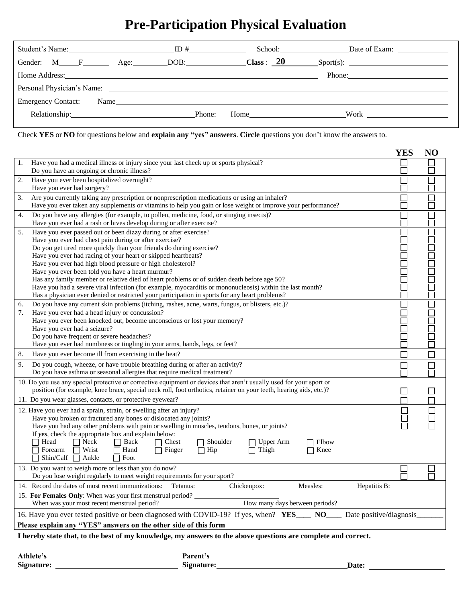# **Pre-Participation Physical Evaluation**

| Student's Name: ID #                                                                                                                                                                                                           |        | School:                                                                                                                                                                                                                       |                   |
|--------------------------------------------------------------------------------------------------------------------------------------------------------------------------------------------------------------------------------|--------|-------------------------------------------------------------------------------------------------------------------------------------------------------------------------------------------------------------------------------|-------------------|
| Gender: M <sub>B</sub> F Age: DOB: Class: 20                                                                                                                                                                                   |        |                                                                                                                                                                                                                               | $\text{Spot}(s):$ |
|                                                                                                                                                                                                                                |        |                                                                                                                                                                                                                               | Phone:            |
|                                                                                                                                                                                                                                |        |                                                                                                                                                                                                                               |                   |
| <b>Emergency Contact:</b>                                                                                                                                                                                                      | Name   |                                                                                                                                                                                                                               |                   |
| Relationship: Network of the state of the state of the state of the state of the state of the state of the state of the state of the state of the state of the state of the state of the state of the state of the state of th | Phone: | Home and the same state of the state of the state of the state of the state of the state of the state of the state of the state of the state of the state of the state of the state of the state of the state of the state of | <b>Work</b>       |

Check **YES** or **NO** for questions below and **explain any "yes" answers**. **Circle** questions you don't know the answers to.

|                                                  |                                                                                                                                     | Y E.Ə | NU |  |  |  |
|--------------------------------------------------|-------------------------------------------------------------------------------------------------------------------------------------|-------|----|--|--|--|
| 1.                                               | Have you had a medical illness or injury since your last check up or sports physical?<br>Do you have an ongoing or chronic illness? |       |    |  |  |  |
| Have you ever been hospitalized overnight?<br>2. |                                                                                                                                     |       |    |  |  |  |
|                                                  | Have you ever had surgery?                                                                                                          |       |    |  |  |  |
|                                                  |                                                                                                                                     |       |    |  |  |  |
| 3.                                               | Are you currently taking any prescription or nonprescription medications or using an inhaler?                                       |       |    |  |  |  |
|                                                  | Have you ever taken any supplements or vitamins to help you gain or lose weight or improve your performance?                        |       |    |  |  |  |
| 4.                                               | Do you have any allergies (for example, to pollen, medicine, food, or stinging insects)?                                            |       |    |  |  |  |
|                                                  | Have you ever had a rash or hives develop during or after exercise?                                                                 |       |    |  |  |  |
| 5.                                               | Have you ever passed out or been dizzy during or after exercise?                                                                    |       |    |  |  |  |
|                                                  | Have you ever had chest pain during or after exercise?                                                                              |       |    |  |  |  |
|                                                  | Do you get tired more quickly than your friends do during exercise?                                                                 |       |    |  |  |  |
|                                                  | Have you ever had racing of your heart or skipped heartbeats?                                                                       |       |    |  |  |  |
|                                                  | Have you ever had high blood pressure or high cholesterol?                                                                          |       |    |  |  |  |
|                                                  | Have you ever been told you have a heart murmur?                                                                                    |       |    |  |  |  |
|                                                  | Has any family member or relative died of heart problems or of sudden death before age 50?                                          |       |    |  |  |  |
|                                                  | Have you had a severe viral infection (for example, myocarditis or mononucleosis) within the last month?                            |       |    |  |  |  |
|                                                  | Has a physician ever denied or restricted your participation in sports for any heart problems?                                      |       |    |  |  |  |
| 6.                                               | Do you have any current skin problems (itching, rashes, acne, warts, fungus, or blisters, etc.)?                                    |       |    |  |  |  |
| $\overline{7}$ .                                 | Have you ever had a head injury or concussion?                                                                                      |       |    |  |  |  |
|                                                  | Have you ever been knocked out, become unconscious or lost your memory?                                                             |       |    |  |  |  |
|                                                  | Have you ever had a seizure?                                                                                                        |       |    |  |  |  |
|                                                  | Do you have frequent or severe headaches?                                                                                           |       |    |  |  |  |
|                                                  | Have you ever had numbness or tingling in your arms, hands, legs, or feet?                                                          |       |    |  |  |  |
| 8.                                               | Have you ever become ill from exercising in the heat?                                                                               |       |    |  |  |  |
| 9.                                               | Do you cough, wheeze, or have trouble breathing during or after an activity?                                                        |       |    |  |  |  |
|                                                  | Do you have asthma or seasonal allergies that require medical treatment?                                                            |       |    |  |  |  |
|                                                  | 10. Do you use any special protective or corrective equipment or devices that aren't usually used for your sport or                 |       |    |  |  |  |
|                                                  | position (for example, knee brace, special neck roll, foot orthotics, retainer on your teeth, hearing aids, etc.)?                  |       |    |  |  |  |
|                                                  | 11. Do you wear glasses, contacts, or protective eyewear?                                                                           |       |    |  |  |  |
|                                                  |                                                                                                                                     |       |    |  |  |  |
|                                                  | 12. Have you ever had a sprain, strain, or swelling after an injury?                                                                |       |    |  |  |  |
|                                                  | Have you broken or fractured any bones or dislocated any joints?                                                                    |       |    |  |  |  |
|                                                  | Have you had any other problems with pain or swelling in muscles, tendons, bones, or joints?                                        |       |    |  |  |  |
|                                                  | If yes, check the appropriate box and explain below:                                                                                |       |    |  |  |  |
|                                                  | □ Head<br>$\Box$ Neck<br>Back<br>Shoulder<br>Elbow<br>Chest<br>Upper Arm<br>$\mathbf{L}$                                            |       |    |  |  |  |
|                                                  | $\Box$ Wrist<br>$\overline{\Box}$ Hip<br>$\Box$ Forearm<br>□ Hand<br>$\Box$ Finger<br>Thigh<br>Knee<br>П                            |       |    |  |  |  |
|                                                  | Shin/Calf $\Box$ Ankle<br>$\Box$ Foot                                                                                               |       |    |  |  |  |
|                                                  | 13. Do you want to weigh more or less than you do now?<br>Do you lose weight regularly to meet weight requirements for your sport?  |       |    |  |  |  |
|                                                  |                                                                                                                                     |       |    |  |  |  |
|                                                  | 14. Record the dates of most recent immunizations:<br>Chickenpox:<br>Hepatitis B:<br>Tetanus:<br>Measles:                           |       |    |  |  |  |
|                                                  | 15. For Females Only: When was your first menstrual period?                                                                         |       |    |  |  |  |
|                                                  | How many days between periods?<br>When was your most recent menstrual period?                                                       |       |    |  |  |  |
|                                                  | 16. Have you ever tested positive or been diagnosed with COVID-19? If yes, when? YES_____ NO_____ Date positive/diagnosis           |       |    |  |  |  |
|                                                  | Please explain any "YES" answers on the other side of this form                                                                     |       |    |  |  |  |
|                                                  | I hereby state that, to the best of my knowledge, my answers to the above questions are complete and correct.                       |       |    |  |  |  |
|                                                  |                                                                                                                                     |       |    |  |  |  |

| Athlete's  |  |
|------------|--|
| Signature: |  |

**YES NO**